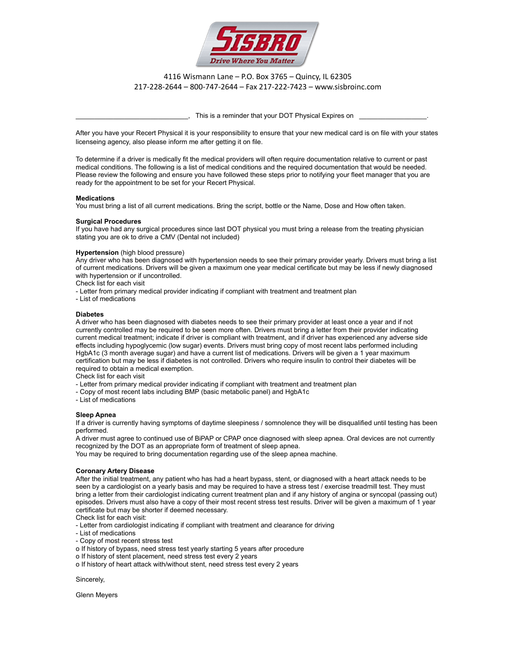

4116 Wismann Lane – P.O. Box 3765 – Quincy, IL 62305 217-228-2644 – 800-747-2644 – Fax 217-222-7423 – www.sisbroinc.com

This is a reminder that your DOT Physical Expires on

After you have your Recert Physical it is your responsibility to ensure that your new medical card is on file with your states licenseing agency, also please inform me after getting it on file.

To determine if a driver is medically fit the medical providers will often require documentation relative to current or past medical conditions. The following is a list of medical conditions and the required documentation that would be needed. Please review the following and ensure you have followed these steps prior to notifying your fleet manager that you are ready for the appointment to be set for your Recert Physical.

## **Medications**

You must bring a list of all current medications. Bring the script, bottle or the Name, Dose and How often taken.

## **Surgical Procedures**

If you have had any surgical procedures since last DOT physical you must bring a release from the treating physician stating you are ok to drive a CMV (Dental not included)

#### **Hypertension** (high blood pressure)

Any driver who has been diagnosed with hypertension needs to see their primary provider yearly. Drivers must bring a list of current medications. Drivers will be given a maximum one year medical certificate but may be less if newly diagnosed with hypertension or if uncontrolled.

Check list for each visit

- Letter from primary medical provider indicating if compliant with treatment and treatment plan

- List of medications

## **Diabetes**

A driver who has been diagnosed with diabetes needs to see their primary provider at least once a year and if not currently controlled may be required to be seen more often. Drivers must bring a letter from their provider indicating current medical treatment; indicate if driver is compliant with treatment, and if driver has experienced any adverse side effects including hypoglycemic (low sugar) events. Drivers must bring copy of most recent labs performed including HgbA1c (3 month average sugar) and have a current list of medications. Drivers will be given a 1 year maximum certification but may be less if diabetes is not controlled. Drivers who require insulin to control their diabetes will be required to obtain a medical exemption.

Check list for each visit

- Letter from primary medical provider indicating if compliant with treatment and treatment plan

- Copy of most recent labs including BMP (basic metabolic panel) and HgbA1c

- List of medications

## **Sleep Apnea**

If a driver is currently having symptoms of daytime sleepiness / somnolence they will be disqualified until testing has been performed.

A driver must agree to continued use of BiPAP or CPAP once diagnosed with sleep apnea. Oral devices are not currently recognized by the DOT as an appropriate form of treatment of sleep apnea.

You may be required to bring documentation regarding use of the sleep apnea machine.

## **Coronary Artery Disease**

After the initial treatment, any patient who has had a heart bypass, stent, or diagnosed with a heart attack needs to be seen by a cardiologist on a yearly basis and may be required to have a stress test / exercise treadmill test. They must bring a letter from their cardiologist indicating current treatment plan and if any history of angina or syncopal (passing out) episodes. Drivers must also have a copy of their most recent stress test results. Driver will be given a maximum of 1 year certificate but may be shorter if deemed necessary.

Check list for each visit:

- Letter from cardiologist indicating if compliant with treatment and clearance for driving

- List of medications
- Copy of most recent stress test
- o If history of bypass, need stress test yearly starting 5 years after procedure
- o If history of stent placement, need stress test every 2 years
- o If history of heart attack with/without stent, need stress test every 2 years

Sincerely,

Glenn Meyers